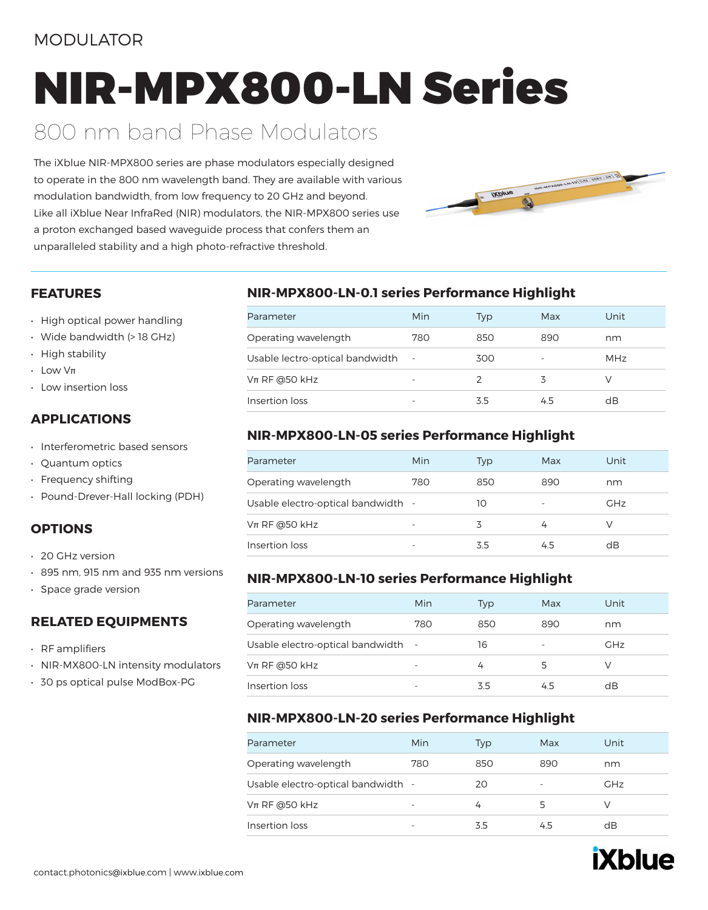### MODULATOR

# NIR-MPX800-LN Series

### 800 nm band Phase Modulators

The iXblue NIR-MPX800 series are phase modulators especially designed to operate in the 800 nm wavelength band. They are available with various modulation bandwidth, from low frequency to 20 GHz and beyond. Like all iXblue Near InfraRed (NIR) modulators, the NIR-MPX800 series use a proton exchanged based waveguide process that confers them an unparalleled stability and a high photo-refractive threshold.



#### **FEATURES**

- High optical power handling
- Wide bandwidth (> 18 GHz)
- High stability
- Low Vπ
- Low insertion loss

#### **APPLICATIONS**

- Interferometric based sensors
- Quantum optics
- Frequency shifting
- Pound-Drever-Hall locking (PDH)

#### **OPTIONS**

- 20 GHz version
- 895 nm, 915 nm and 935 nm versions
- Space grade version

#### **RELATED EQUIPMENTS**

- RF amplifiers
- NIR-MX800-LN intensity modulators
- 30 ps optical pulse ModBox-PG

#### **NIR-MPX800-LN-0.1 series Performance Highlight**

| Parameter                       | Min        | Typ           | Max | Unit |
|---------------------------------|------------|---------------|-----|------|
| Operating wavelength            | 780        | 850           | 890 | nm   |
| Usable lectro-optical bandwidth | $\sim$ $-$ | 300           |     | MHz  |
| $Vπ$ RF @50 kHz                 |            | $\mathcal{P}$ |     |      |
| Insertion loss                  |            | 3.5           | 4.5 | dB   |

#### **NIR-MPX800-LN-05 series Performance Highlight**

| Parameter                          | Min | Typ | Max | Unit       |
|------------------------------------|-----|-----|-----|------------|
| Operating wavelength               | 780 | 850 | 890 | nm         |
| Usable electro-optical bandwidth - |     | 10  | ۰   | <b>GHz</b> |
| $Vπ$ RF @50 kHz                    |     |     |     |            |
| Insertion loss                     |     | 35  |     | dB         |

#### **NIR-MPX800-LN-10 series Performance Highlight**

| Parameter                          | Min                      | Typ | Max                      | Unit       |
|------------------------------------|--------------------------|-----|--------------------------|------------|
| Operating wavelength               | 780                      | 850 | 890                      | nm         |
| Usable electro-optical bandwidth - |                          | 16  | $\overline{\phantom{a}}$ | <b>GHz</b> |
| $Vπ$ RF @50 kHz                    | $\overline{\phantom{0}}$ | 4   |                          |            |
| Insertion loss                     | $\overline{\phantom{0}}$ | 3.5 |                          | dB         |

#### **NIR-MPX800-LN-20 series Performance Highlight**

| Parameter                          | Min | Typ | Max                      | Unit       |
|------------------------------------|-----|-----|--------------------------|------------|
| Operating wavelength               | 780 | 850 | 890                      | nm         |
| Usable electro-optical bandwidth - |     | 20  | $\overline{\phantom{0}}$ | <b>GHz</b> |
| $Vπ$ RF @50 kHz                    |     | 4   |                          |            |
| Insertion loss                     |     | 3.5 |                          | dB         |

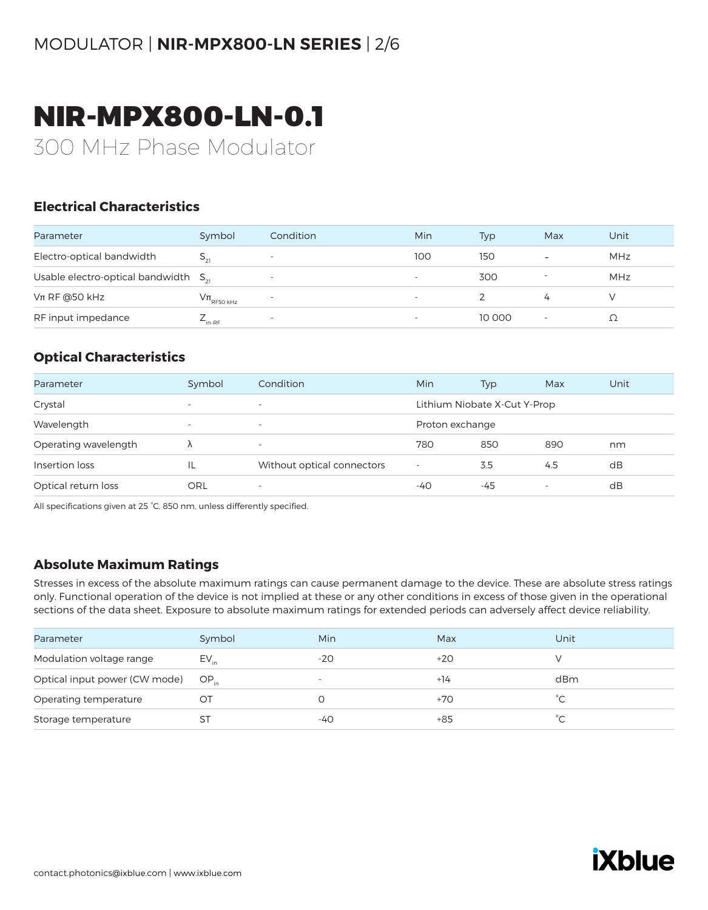# NIR-MPX800-LN-0.1

300 MHz Phase Modulator

#### **Electrical Characteristics**

| Parameter                                 | Symbol                 | Condition                | Min | Typ    | Max                      | Unit |
|-------------------------------------------|------------------------|--------------------------|-----|--------|--------------------------|------|
| Electro-optical bandwidth                 |                        | $\overline{\phantom{a}}$ | 100 | 150    | $\overline{\phantom{a}}$ | MHz  |
| Usable electro-optical bandwidth $S_{21}$ |                        |                          |     | 300    |                          | MHz  |
| $Vπ$ RF @50 kHz                           | $\rm V\pi_{RFSO\,kHz}$ |                          |     |        | 4                        |      |
| RF input impedance                        | $L_{\text{in-RF}}$     |                          |     | 10 000 |                          |      |

#### **Optical Characteristics**

| Parameter            | Symbol                   | Condition                  | Min                          | Typ | Max | Unit |
|----------------------|--------------------------|----------------------------|------------------------------|-----|-----|------|
| Crystal              | $\overline{\phantom{a}}$ | $\overline{\phantom{a}}$   | Lithium Niobate X-Cut Y-Prop |     |     |      |
| Wavelength           | $\overline{\phantom{a}}$ | $\overline{\phantom{a}}$   | Proton exchange              |     |     |      |
| Operating wavelength |                          | $\overline{\phantom{a}}$   | 780                          | 850 | 890 | nm   |
| Insertion loss       | IL                       | Without optical connectors | $\overline{\phantom{a}}$     | 3.5 | 4.5 | dB   |
| Optical return loss  | ORL                      | -                          | -40                          | -45 |     | dB   |

All specifications given at 25 °C, 850 nm, unless differently specified.

#### **Absolute Maximum Ratings**

| Parameter                     | Symbol    | Min                      | Max   | Unit                |
|-------------------------------|-----------|--------------------------|-------|---------------------|
| Modulation voltage range      | $EV_{in}$ | $-20$                    | $+20$ |                     |
| Optical input power (CW mode) | $OP_{in}$ | $\overline{\phantom{a}}$ | $+14$ | dBm                 |
| Operating temperature         | OТ        |                          | $+70$ | °С                  |
| Storage temperature           | S I       | -40                      | $+85$ | $\hat{\phantom{a}}$ |

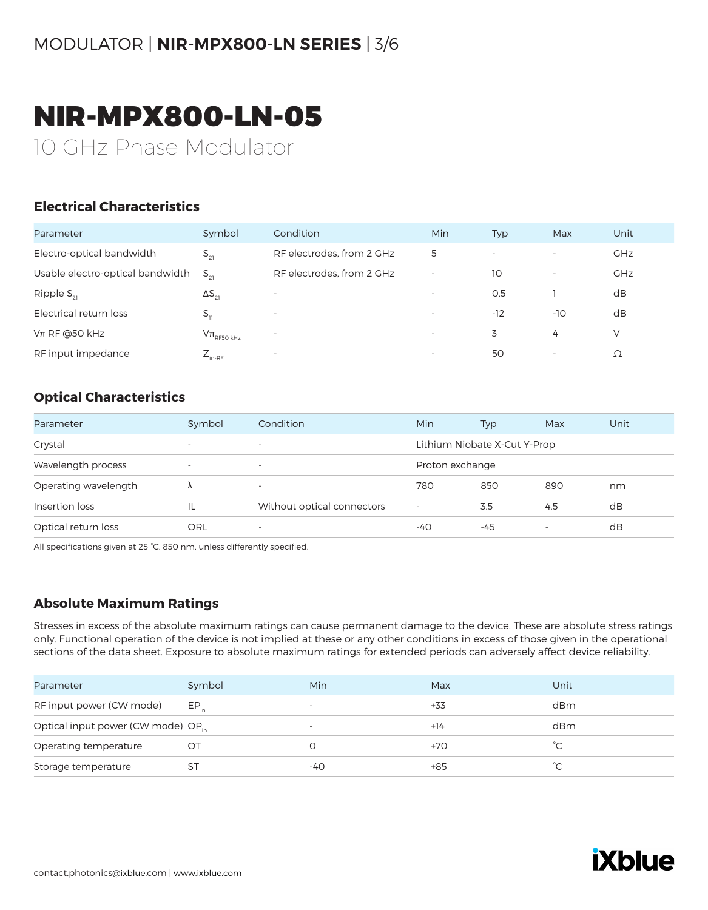### NIR-MPX800-LN-05

10 GHz Phase Modulator

#### **Electrical Characteristics**

| Parameter                        | Symbol                     | Condition                 | Min                      | Typ                      | Max                      | Unit       |
|----------------------------------|----------------------------|---------------------------|--------------------------|--------------------------|--------------------------|------------|
| Electro-optical bandwidth        | $S_{21}$                   | RF electrodes, from 2 GHz | 5                        | $\overline{\phantom{0}}$ | $\overline{\phantom{a}}$ | <b>GHz</b> |
| Usable electro-optical bandwidth | $S_{\alpha}$               | RF electrodes, from 2 GHz | $\overline{\phantom{a}}$ | 10                       |                          | GHz        |
| Ripple $S_{21}$                  | $\Delta S_{21}$            |                           | $\overline{\phantom{0}}$ | 0.5                      |                          | dB         |
| Electrical return loss           | $S_{11}$                   | $\overline{\phantom{a}}$  | $\overline{\phantom{a}}$ | $-12$                    | $-10$                    | dB         |
| $Vπ$ RF @50 kHz                  | $V\pi$ <sub>RF50 kHz</sub> | $\overline{\phantom{a}}$  | $\overline{\phantom{0}}$ | 3                        | 4                        | V          |
| RF input impedance               | $E_{\text{in-RF}}$         | $\overline{\phantom{a}}$  | $\overline{\phantom{a}}$ | 50                       |                          | Ω          |

#### **Optical Characteristics**

| Parameter            | Symbol                   | Condition                  | Min                          | Typ | Max | Unit |
|----------------------|--------------------------|----------------------------|------------------------------|-----|-----|------|
| Crystal              | $\overline{\phantom{0}}$ | $\overline{\phantom{a}}$   | Lithium Niobate X-Cut Y-Prop |     |     |      |
| Wavelength process   | $\overline{\phantom{0}}$ | $\overline{\phantom{a}}$   | Proton exchange              |     |     |      |
| Operating wavelength | Λ                        | $\overline{\phantom{a}}$   | 780                          | 850 | 890 | nm   |
| Insertion loss       | IL                       | Without optical connectors | $\overline{\phantom{a}}$     | 3.5 | 4.5 | dB   |
| Optical return loss  | ORL                      | $\overline{\phantom{a}}$   | -40                          | -45 |     | dB   |

All specifications given at 25 °C, 850 nm, unless differently specified.

#### **Absolute Maximum Ratings**

| Parameter                                      | Symbol    | Min                      | Max   | Unit      |
|------------------------------------------------|-----------|--------------------------|-------|-----------|
| RF input power (CW mode)                       | $EP_{in}$ | $\overline{\phantom{0}}$ | +33   | dBm       |
| Optical input power (CW mode) OP <sub>in</sub> |           | $\overline{\phantom{a}}$ | $+14$ | dBm       |
| Operating temperature                          | Ő         |                          | +70   |           |
| Storage temperature                            | S٦        | -40                      | +85   | $\hat{C}$ |

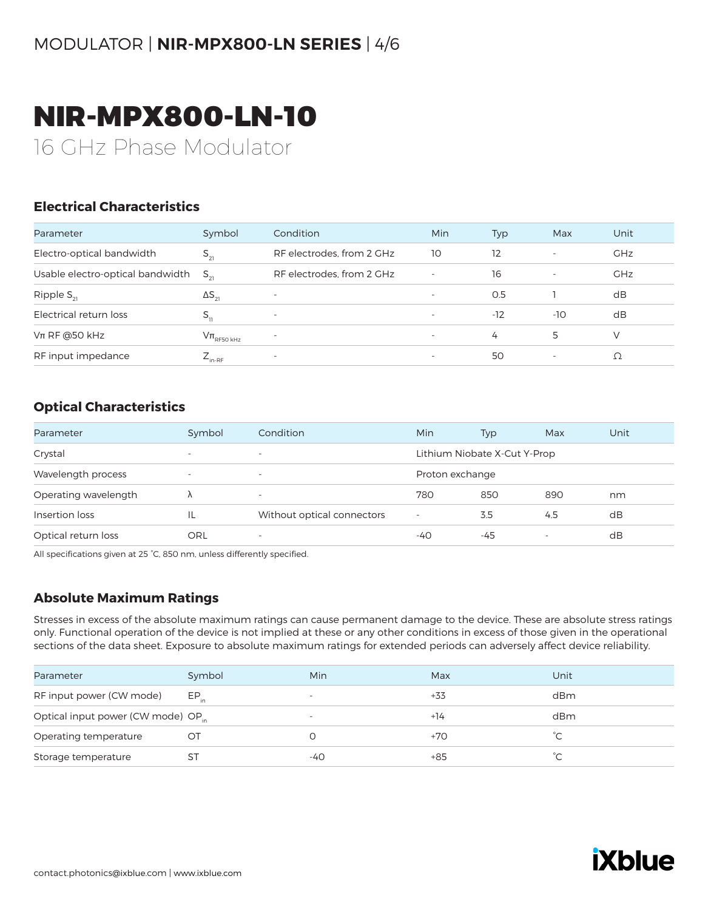# NIR-MPX800-LN-10

16 GHz Phase Modulator

#### **Electrical Characteristics**

| Parameter                        | Symbol                 | Condition                 | <b>Min</b>               | Typ   | Max                      | Unit       |
|----------------------------------|------------------------|---------------------------|--------------------------|-------|--------------------------|------------|
| Electro-optical bandwidth        | $S_{21}$               | RF electrodes, from 2 GHz | 10                       | 12    |                          | <b>GHz</b> |
| Usable electro-optical bandwidth | $S_{\sim}$             | RF electrodes, from 2 GHz | $\overline{\phantom{a}}$ | 16    | $\overline{\phantom{a}}$ | <b>GHz</b> |
| Ripple $S_{21}$                  | $\Delta S_{21}$        | $\overline{\phantom{0}}$  | $\overline{\phantom{a}}$ | 0.5   |                          | dB         |
| Electrical return loss           | $S_{11}$               | $\overline{\phantom{a}}$  |                          | $-12$ | $-10$                    | dB         |
| $Vπ$ RF @50 kHz                  | $\rm V\pi_{RFSO\,kHz}$ | $\overline{\phantom{a}}$  | $\overline{\phantom{a}}$ | 4     | 5                        | V          |
| RF input impedance               | ∠ <sub>in-RF</sub>     | $\overline{\phantom{a}}$  | $\overline{\phantom{a}}$ | 50    | $\overline{\phantom{a}}$ | Ω          |

#### **Optical Characteristics**

| Parameter            | Symbol                   | Condition                  | Min                          | Typ             | Max | Unit |  |
|----------------------|--------------------------|----------------------------|------------------------------|-----------------|-----|------|--|
| Crystal              | $\overline{\phantom{0}}$ | $\overline{\phantom{a}}$   | Lithium Niobate X-Cut Y-Prop |                 |     |      |  |
| Wavelength process   | $\overline{\phantom{0}}$ | $\overline{\phantom{a}}$   |                              | Proton exchange |     |      |  |
| Operating wavelength | Λ                        | $\overline{\phantom{a}}$   | 780                          | 850             | 890 | nm   |  |
| Insertion loss       | ΙL                       | Without optical connectors | $\overline{\phantom{a}}$     | 3.5             | 4.5 | dB   |  |
| Optical return loss  | ORL                      | $\overline{\phantom{a}}$   | $-40$                        | -45             |     | dB   |  |

All specifications given at 25 °C, 850 nm, unless differently specified.

#### **Absolute Maximum Ratings**

| Parameter                                      | Symbol    | Min                      | Max   | Unit        |
|------------------------------------------------|-----------|--------------------------|-------|-------------|
| RF input power (CW mode)                       | $EP_{in}$ | $\overline{\phantom{a}}$ | +33   | dBm         |
| Optical input power (CW mode) OP <sub>in</sub> |           | $\overline{\phantom{0}}$ | $+14$ | dBm         |
| Operating temperature                          | OТ        |                          | $+70$ | $^{\circ}C$ |
| Storage temperature                            | S1        | -40                      | $+85$ | $\sim$      |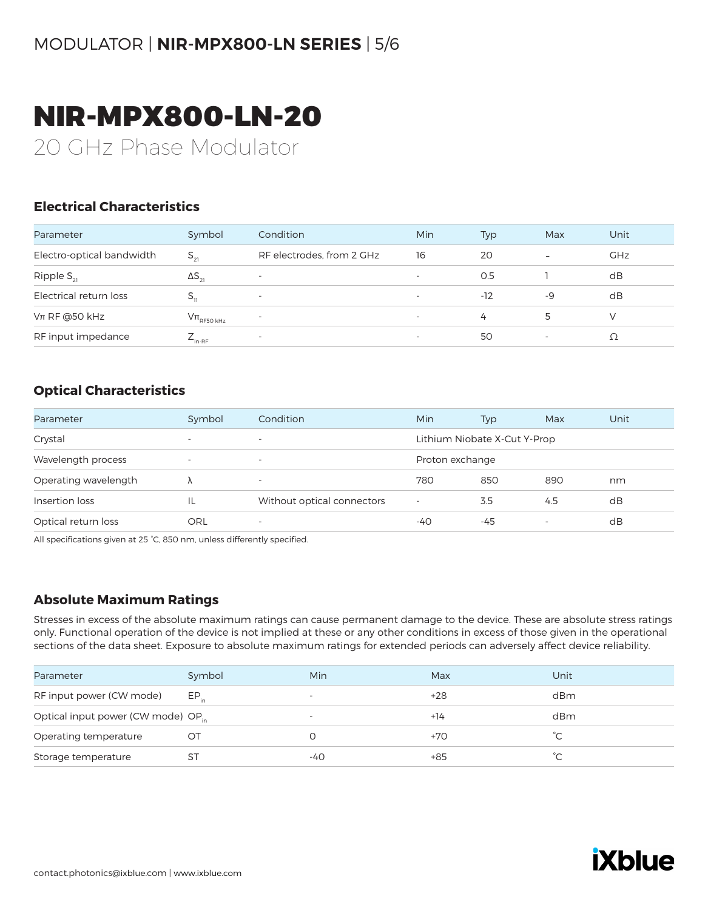# NIR-MPX800-LN-20

20 GHz Phase Modulator

#### **Electrical Characteristics**

| Parameter                 | Symbol                                      | Condition                 | Min                      | Typ   | Max                      | Unit       |
|---------------------------|---------------------------------------------|---------------------------|--------------------------|-------|--------------------------|------------|
| Electro-optical bandwidth | $S_{21}$                                    | RF electrodes, from 2 GHz | 16                       | 20    | $\overline{\phantom{0}}$ | <b>GHz</b> |
| Ripple $S_{21}$           | $\Delta S_{21}$                             | $\overline{\phantom{0}}$  |                          | O.5   |                          | dB         |
| Electrical return loss    |                                             | $\overline{\phantom{a}}$  |                          | $-12$ | -9                       | dB         |
| $Vπ$ RF @50 kHz           | $\mathrm{V}\pi_{\textrm{\tiny{RF50\,kHz}}}$ | $\overline{\phantom{0}}$  | $\overline{\phantom{0}}$ | 4     | 5.                       |            |
| RF input impedance        | $L_{\text{in-RF}}$                          | $\overline{\phantom{a}}$  |                          | 50    |                          |            |

#### **Optical Characteristics**

| Parameter            | Symbol                   | Condition                  | Min                      | Typ                          | Max | Unit |
|----------------------|--------------------------|----------------------------|--------------------------|------------------------------|-----|------|
| Crystal              | $\overline{\phantom{a}}$ | $\overline{\phantom{a}}$   |                          | Lithium Niobate X-Cut Y-Prop |     |      |
| Wavelength process   | $\overline{\phantom{a}}$ | $\overline{\phantom{a}}$   | Proton exchange          |                              |     |      |
| Operating wavelength |                          | $\overline{\phantom{a}}$   | 780                      | 850                          | 890 | nm   |
| Insertion loss       | IL                       | Without optical connectors | $\overline{\phantom{0}}$ | 3.5                          | 4.5 | dB   |
| Optical return loss  | ORL                      | $\overline{\phantom{a}}$   | -40                      | -45                          |     | dB   |

All specifications given at 25 °C, 850 nm, unless differently specified.

#### **Absolute Maximum Ratings**

| Parameter                                      | Symbol    | Min                      | Max   | Unit        |
|------------------------------------------------|-----------|--------------------------|-------|-------------|
| RF input power (CW mode)                       | $EP_{in}$ | $\overline{\phantom{a}}$ | $+28$ | dBm         |
| Optical input power (CW mode) OP <sub>in</sub> |           | $\overline{\phantom{0}}$ | $+14$ | dBm         |
| Operating temperature                          | OТ        |                          | $+70$ | $^{\circ}C$ |
| Storage temperature                            | S1        | -40                      | $+85$ | $\sim$      |